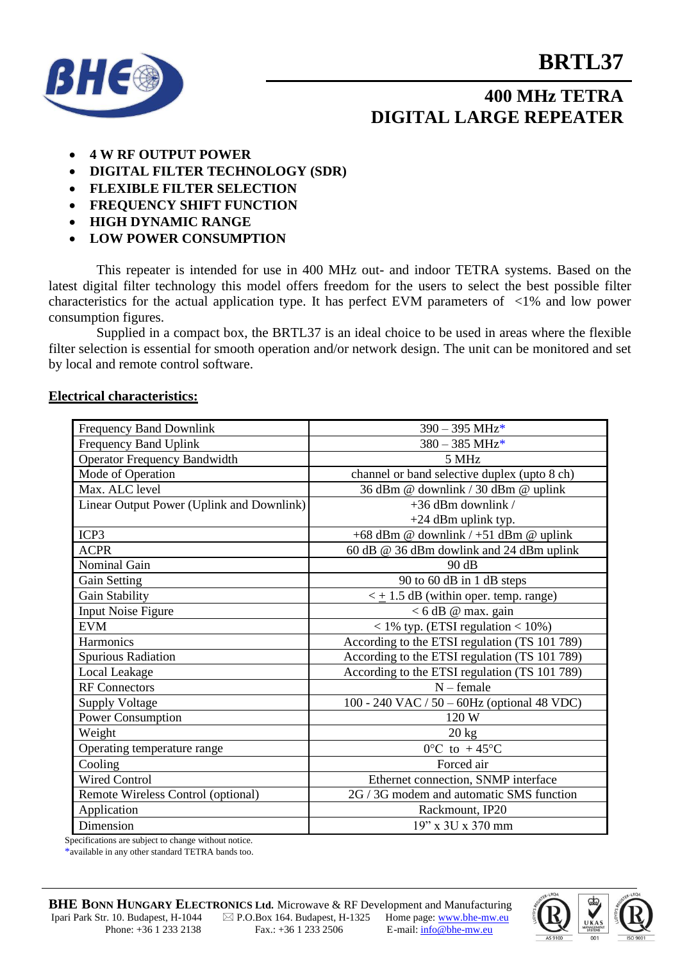## **BRTL37**



## **400 MHz TETRA DIGITAL LARGE REPEATER**

- **4 W RF OUTPUT POWER**
- **DIGITAL FILTER TECHNOLOGY (SDR)**
- **FLEXIBLE FILTER SELECTION**
- **FREQUENCY SHIFT FUNCTION**
- **HIGH DYNAMIC RANGE**
- **LOW POWER CONSUMPTION**

This repeater is intended for use in 400 MHz out- and indoor TETRA systems. Based on the latest digital filter technology this model offers freedom for the users to select the best possible filter characteristics for the actual application type. It has perfect EVM parameters of <1% and low power consumption figures.

Supplied in a compact box, the BRTL37 is an ideal choice to be used in areas where the flexible filter selection is essential for smooth operation and/or network design. The unit can be monitored and set by local and remote control software.

#### **Electrical characteristics:**

| <b>Frequency Band Downlink</b>                              | $390 - 395$ MHz*                              |
|-------------------------------------------------------------|-----------------------------------------------|
| Frequency Band Uplink                                       | $380 - 385 \text{ MHz*}$                      |
| <b>Operator Frequency Bandwidth</b>                         | 5 MHz                                         |
| Mode of Operation                                           | channel or band selective duplex (upto 8 ch)  |
| Max. ALC level                                              | 36 dBm @ downlink / 30 dBm @ uplink           |
| Linear Output Power (Uplink and Downlink)                   | $+36$ dBm downlink /                          |
|                                                             | +24 dBm uplink typ.                           |
| ICP3                                                        | +68 dBm @ downlink / +51 dBm @ uplink         |
| <b>ACPR</b>                                                 | 60 dB @ 36 dBm dowlink and 24 dBm uplink      |
| <b>Nominal Gain</b>                                         | 90 dB                                         |
| Gain Setting                                                | 90 to 60 dB in 1 dB steps                     |
| Gain Stability                                              | $\leq$ + 1.5 dB (within oper. temp. range)    |
| <b>Input Noise Figure</b>                                   | $<$ 6 dB @ max. gain                          |
| <b>EVM</b>                                                  | $<$ 1% typ. (ETSI regulation $<$ 10%)         |
| Harmonics                                                   | According to the ETSI regulation (TS 101 789) |
| Spurious Radiation                                          | According to the ETSI regulation (TS 101 789) |
| Local Leakage                                               | According to the ETSI regulation (TS 101 789) |
| <b>RF</b> Connectors                                        | $N$ – female                                  |
| <b>Supply Voltage</b>                                       | 100 - 240 VAC / 50 - 60Hz (optional 48 VDC)   |
| <b>Power Consumption</b>                                    | 120 W                                         |
| Weight                                                      | $20 \text{ kg}$                               |
| Operating temperature range                                 | $0^{\circ}$ C to +45°C                        |
| Cooling                                                     | Forced air                                    |
| <b>Wired Control</b>                                        | Ethernet connection, SNMP interface           |
| Remote Wireless Control (optional)                          | 2G / 3G modem and automatic SMS function      |
| Application                                                 | Rackmount, IP20                               |
| Dimension<br>disations are subject to change without notice | 19" x 3U x 370 mm                             |

Specifications are subject to change without notice.

\*available in any other standard TETRA bands too.